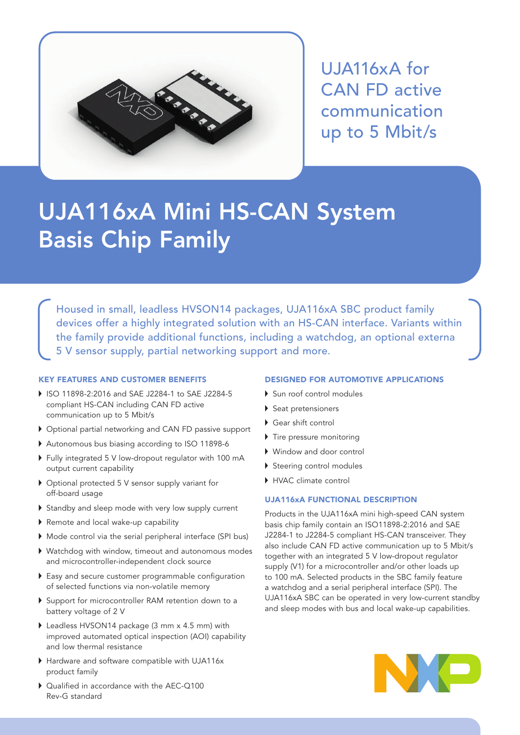

UJA116xA for CAN FD active communication up to 5 Mbit/s

# UJA116xA Mini HS-CAN System Basis Chip Family

Housed in small, leadless HVSON14 packages, UJA116xA SBC product family devices offer a highly integrated solution with an HS-CAN interface. Variants within the family provide additional functions, including a watchdog, an optional externa 5 V sensor supply, partial networking support and more.

# KEY FEATURES AND CUSTOMER BENEFITS

- ▶ ISO 11898-2:2016 and SAE J2284-1 to SAE J2284-5 compliant HS-CAN including CAN FD active communication up to 5 Mbit/s
- Optional partial networking and CAN FD passive support
- Autonomous bus biasing according to ISO 11898-6
- Fully integrated 5 V low-dropout regulator with 100 mA output current capability
- ▶ Optional protected 5 V sensor supply variant for off-board usage
- Standby and sleep mode with very low supply current
- Remote and local wake-up capability
- Mode control via the serial peripheral interface (SPI bus)
- Watchdog with window, timeout and autonomous modes and microcontroller-independent clock source
- Easy and secure customer programmable configuration of selected functions via non-volatile memory
- ▶ Support for microcontroller RAM retention down to a battery voltage of 2 V
- ▶ Leadless HVSON14 package (3 mm x 4.5 mm) with improved automated optical inspection (AOI) capability and low thermal resistance
- ▶ Hardware and software compatible with UJA116x product family
- ▶ Qualified in accordance with the AEC-Q100 Rev-G standard

# DESIGNED FOR AUTOMOTIVE APPLICATIONS

- Sun roof control modules
- ▶ Seat pretensioners
- Gear shift control
- Tire pressure monitoring
- Window and door control
- Steering control modules
- ▶ HVAC climate control

## UJA116xA FUNCTIONAL DESCRIPTION

Products in the UJA116xA mini high-speed CAN system basis chip family contain an ISO11898-2:2016 and SAE J2284-1 to J2284-5 compliant HS-CAN transceiver. They also include CAN FD active communication up to 5 Mbit/s together with an integrated 5 V low-dropout regulator supply (V1) for a microcontroller and/or other loads up to 100 mA. Selected products in the SBC family feature a watchdog and a serial peripheral interface (SPI). The UJA116xA SBC can be operated in very low-current standby and sleep modes with bus and local wake-up capabilities.